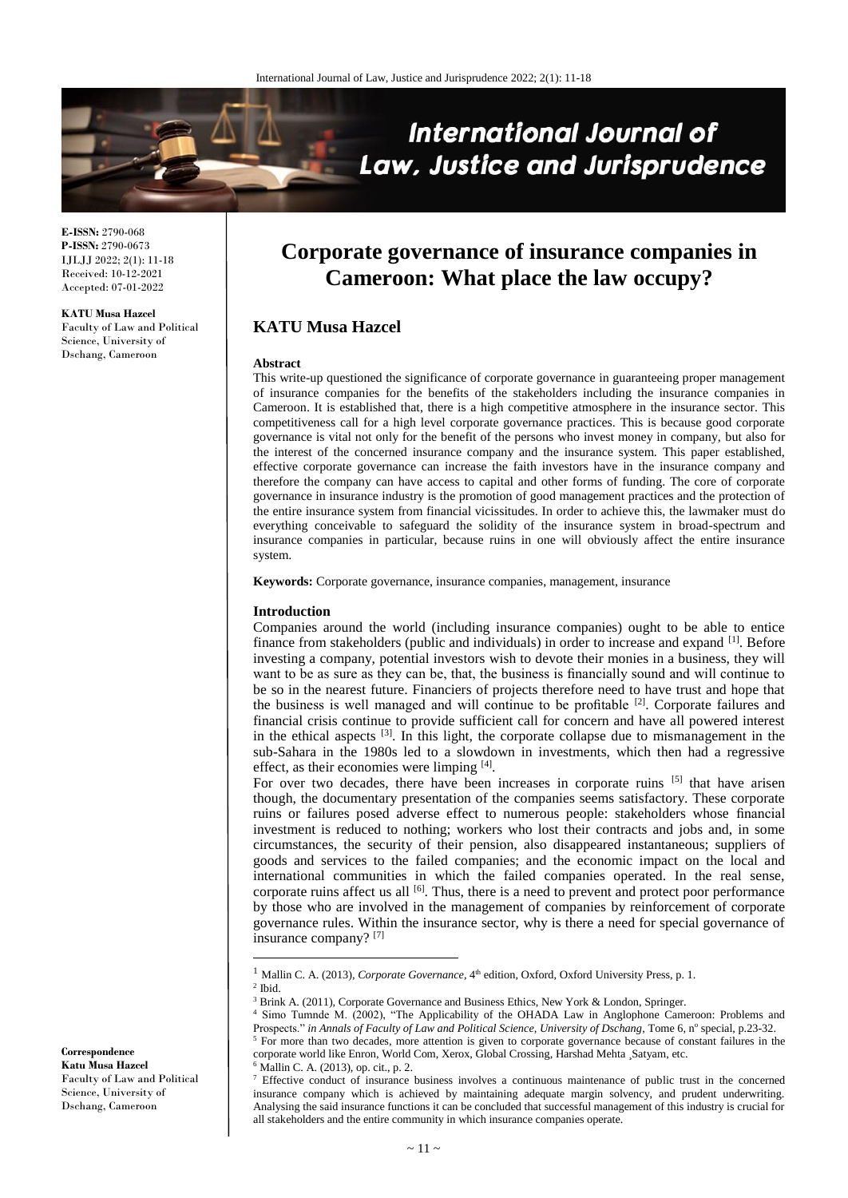

**E-ISSN:** 2790-068 **P-ISSN:** 2790-0673 IJLJJ 2022; 2(1): 11-18 Received: 10-12-2021 Accepted: 07-01-2022

**KATU Musa Hazcel** Faculty of Law and Political Science, University of Dschang, Cameroon

# **Corporate governance of insurance companies in Cameroon: What place the law occupy?**

# **KATU Musa Hazcel**

## **Abstract**

This write-up questioned the significance of corporate governance in guaranteeing proper management of insurance companies for the benefits of the stakeholders including the insurance companies in Cameroon. It is established that, there is a high competitive atmosphere in the insurance sector. This competitiveness call for a high level corporate governance practices. This is because good corporate governance is vital not only for the benefit of the persons who invest money in company, but also for the interest of the concerned insurance company and the insurance system. This paper established, effective corporate governance can increase the faith investors have in the insurance company and therefore the company can have access to capital and other forms of funding. The core of corporate governance in insurance industry is the promotion of good management practices and the protection of the entire insurance system from financial vicissitudes. In order to achieve this, the lawmaker must do everything conceivable to safeguard the solidity of the insurance system in broad-spectrum and insurance companies in particular, because ruins in one will obviously affect the entire insurance system.

**Keywords:** Corporate governance, insurance companies, management, insurance

#### **Introduction**

Companies around the world (including insurance companies) ought to be able to entice finance from stakeholders (public and individuals) in order to increase and expand <sup>[1]</sup>. Before investing a company, potential investors wish to devote their monies in a business, they will want to be as sure as they can be, that, the business is financially sound and will continue to be so in the nearest future. Financiers of projects therefore need to have trust and hope that the business is well managed and will continue to be profitable <sup>[2]</sup>. Corporate failures and financial crisis continue to provide sufficient call for concern and have all powered interest in the ethical aspects <sup>[3]</sup>. In this light, the corporate collapse due to mismanagement in the sub-Sahara in the 1980s led to a slowdown in investments, which then had a regressive effect, as their economies were limping [4].

For over two decades, there have been increases in corporate ruins [5] that have arisen though, the documentary presentation of the companies seems satisfactory. These corporate ruins or failures posed adverse effect to numerous people: stakeholders whose financial investment is reduced to nothing; workers who lost their contracts and jobs and, in some circumstances, the security of their pension, also disappeared instantaneous; suppliers of goods and services to the failed companies; and the economic impact on the local and international communities in which the failed companies operated. In the real sense, corporate ruins affect us all  $[6]$ . Thus, there is a need to prevent and protect poor performance by those who are involved in the management of companies by reinforcement of corporate governance rules. Within the insurance sector, why is there a need for special governance of insurance company? [7]

 $\overline{\phantom{a}}$ 

<sup>5</sup> For more than two decades, more attention is given to corporate governance because of constant failures in the corporate world like Enron, World Com, Xerox, Global Crossing, Harshad Mehta ¸Satyam, etc.

<sup>6</sup> Mallin C. A. (2013), op. cit., p. 2.

**Correspondence Katu Musa Hazcel** Faculty of Law and Political Science, University of Dschang, Cameroon

<sup>&</sup>lt;sup>1</sup> Mallin C. A. (2013), *Corporate Governance*, 4<sup>th</sup> edition, Oxford, Oxford University Press, p. 1.

 $<sup>2</sup>$  Ibid.</sup>

<sup>&</sup>lt;sup>3</sup> Brink A. (2011), Corporate Governance and Business Ethics, New York & London, Springer.

Simo Tumnde M. (2002), "The Applicability of the OHADA Law in Anglophone Cameroon: Problems and Prospects." in Annals of Faculty of Law and Political Science, University of Dschang, Tome 6, nº special, p.23-32.

<sup>7</sup> Effective conduct of insurance business involves a continuous maintenance of public trust in the concerned insurance company which is achieved by maintaining adequate margin solvency, and prudent underwriting. Analysing the said insurance functions it can be concluded that successful management of this industry is crucial for all stakeholders and the entire community in which insurance companies operate.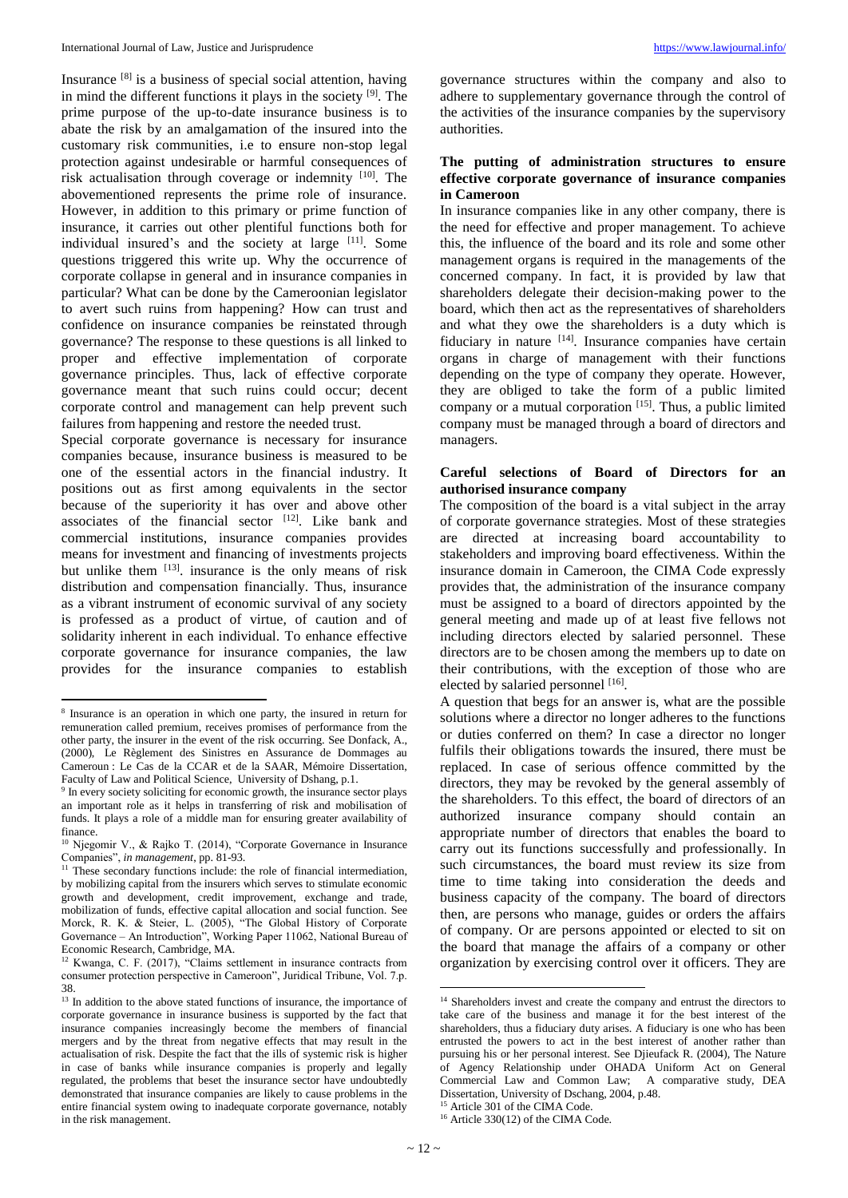Insurance <sup>[8]</sup> is a business of special social attention, having in mind the different functions it plays in the society [9] . The prime purpose of the up-to-date insurance business is to abate the risk by an amalgamation of the insured into the customary risk communities, i.e to ensure non-stop legal protection against undesirable or harmful consequences of risk actualisation through coverage or indemnity [10]. The abovementioned represents the prime role of insurance. However, in addition to this primary or prime function of insurance, it carries out other plentiful functions both for individual insured's and the society at large [11]. Some questions triggered this write up. Why the occurrence of corporate collapse in general and in insurance companies in particular? What can be done by the Cameroonian legislator to avert such ruins from happening? How can trust and confidence on insurance companies be reinstated through governance? The response to these questions is all linked to proper and effective implementation of corporate governance principles. Thus, lack of effective corporate governance meant that such ruins could occur; decent corporate control and management can help prevent such failures from happening and restore the needed trust.

Special corporate governance is necessary for insurance companies because, insurance business is measured to be one of the essential actors in the financial industry. It positions out as first among equivalents in the sector because of the superiority it has over and above other associates of the financial sector  $[12]$ . Like bank and commercial institutions, insurance companies provides means for investment and financing of investments projects but unlike them  $[13]$ . insurance is the only means of risk distribution and compensation financially. Thus, insurance as a vibrant instrument of economic survival of any society is professed as a product of virtue, of caution and of solidarity inherent in each individual. To enhance effective corporate governance for insurance companies, the law provides for the insurance companies to establish

 $\overline{a}$ 

governance structures within the company and also to adhere to supplementary governance through the control of the activities of the insurance companies by the supervisory authorities.

# **The putting of administration structures to ensure effective corporate governance of insurance companies in Cameroon**

In insurance companies like in any other company, there is the need for effective and proper management. To achieve this, the influence of the board and its role and some other management organs is required in the managements of the concerned company. In fact, it is provided by law that shareholders delegate their decision-making power to the board, which then act as the representatives of shareholders and what they owe the shareholders is a duty which is fiduciary in nature <sup>[14]</sup>. Insurance companies have certain organs in charge of management with their functions depending on the type of company they operate. However, they are obliged to take the form of a public limited company or a mutual corporation  $[15]$ . Thus, a public limited company must be managed through a board of directors and managers.

## **Careful selections of Board of Directors for an authorised insurance company**

The composition of the board is a vital subject in the array of corporate governance strategies. Most of these strategies are directed at increasing board accountability to stakeholders and improving board effectiveness. Within the insurance domain in Cameroon, the CIMA Code expressly provides that, the administration of the insurance company must be assigned to a board of directors appointed by the general meeting and made up of at least five fellows not including directors elected by salaried personnel. These directors are to be chosen among the members up to date on their contributions, with the exception of those who are elected by salaried personnel [16].

A question that begs for an answer is, what are the possible solutions where a director no longer adheres to the functions or duties conferred on them? In case a director no longer fulfils their obligations towards the insured, there must be replaced. In case of serious offence committed by the directors, they may be revoked by the general assembly of the shareholders. To this effect, the board of directors of an authorized insurance company should contain an appropriate number of directors that enables the board to carry out its functions successfully and professionally. In such circumstances, the board must review its size from time to time taking into consideration the deeds and business capacity of the company. The board of directors then, are persons who manage, guides or orders the affairs of company. Or are persons appointed or elected to sit on the board that manage the affairs of a company or other organization by exercising control over it officers. They are

<sup>&</sup>lt;sup>8</sup> Insurance is an operation in which one party, the insured in return for remuneration called premium, receives promises of performance from the other party, the insurer in the event of the risk occurring. See Donfack, A., (2000), Le Règlement des Sinistres en Assurance de Dommages au Cameroun : Le Cas de la CCAR et de la SAAR, Mémoire Dissertation, Faculty of Law and Political Science, University of Dshang, p.1.

<sup>&</sup>lt;sup>9</sup> In every society soliciting for economic growth, the insurance sector plays an important role as it helps in transferring of risk and mobilisation of funds. It plays a role of a middle man for ensuring greater availability of finance.

<sup>10</sup> Njegomir V., & Rajko T. (2014), "Corporate Governance in Insurance Companies", *in management*, pp. 81-93.

<sup>&</sup>lt;sup>11</sup> These secondary functions include: the role of financial intermediation, by mobilizing capital from the insurers which serves to stimulate economic growth and development, credit improvement, exchange and trade, mobilization of funds, effective capital allocation and social function. See Morck, R. K. & Steier, L. (2005), "The Global History of Corporate Governance – An Introduction", Working Paper 11062, National Bureau of Economic Research, Cambridge, MA.

<sup>12</sup> Kwanga, C. F. (2017), "Claims settlement in insurance contracts from consumer protection perspective in Cameroon", Juridical Tribune, Vol. 7.p. 38.

<sup>&</sup>lt;sup>13</sup> In addition to the above stated functions of insurance, the importance of corporate governance in insurance business is supported by the fact that insurance companies increasingly become the members of financial mergers and by the threat from negative effects that may result in the actualisation of risk. Despite the fact that the ills of systemic risk is higher in case of banks while insurance companies is properly and legally regulated, the problems that beset the insurance sector have undoubtedly demonstrated that insurance companies are likely to cause problems in the entire financial system owing to inadequate corporate governance, notably in the risk management.

 $\overline{\phantom{a}}$ <sup>14</sup> Shareholders invest and create the company and entrust the directors to take care of the business and manage it for the best interest of the shareholders, thus a fiduciary duty arises. A fiduciary is one who has been entrusted the powers to act in the best interest of another rather than pursuing his or her personal interest. See Djieufack R. (2004), The Nature of Agency Relationship under OHADA Uniform Act on General Commercial Law and Common Law; A comparative study, DEA Dissertation, University of Dschang, 2004, p.48. <sup>15</sup> Article 301 of the CIMA Code.

<sup>&</sup>lt;sup>16</sup> Article 330(12) of the CIMA Code.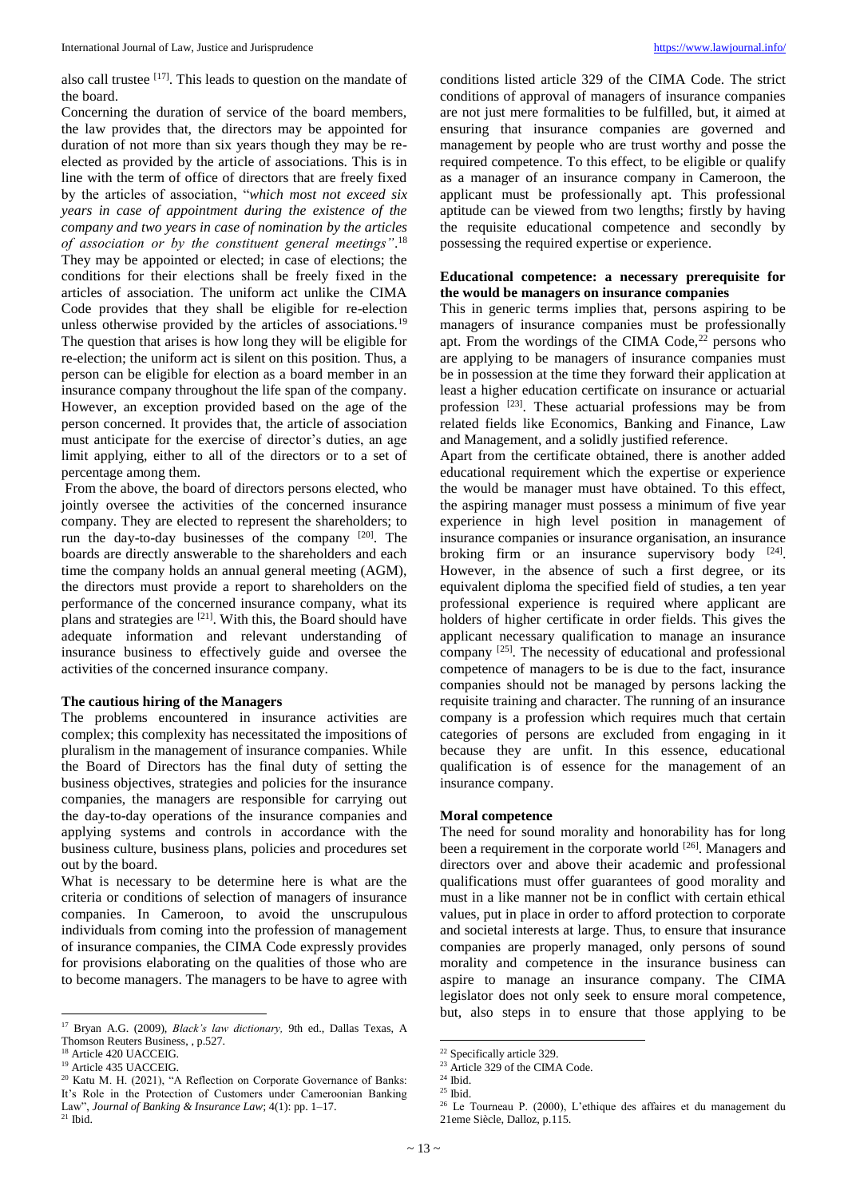also call trustee [17]. This leads to question on the mandate of the board.

Concerning the duration of service of the board members, the law provides that, the directors may be appointed for duration of not more than six years though they may be reelected as provided by the article of associations. This is in line with the term of office of directors that are freely fixed by the articles of association, "*which most not exceed six years in case of appointment during the existence of the company and two years in case of nomination by the articles of association or by the constituent general meetings"*. 18 They may be appointed or elected; in case of elections; the conditions for their elections shall be freely fixed in the articles of association. The uniform act unlike the CIMA Code provides that they shall be eligible for re-election unless otherwise provided by the articles of associations.<sup>19</sup> The question that arises is how long they will be eligible for re-election; the uniform act is silent on this position. Thus, a person can be eligible for election as a board member in an insurance company throughout the life span of the company. However, an exception provided based on the age of the person concerned. It provides that, the article of association must anticipate for the exercise of director's duties, an age limit applying, either to all of the directors or to a set of percentage among them.

From the above, the board of directors persons elected, who jointly oversee the activities of the concerned insurance company. They are elected to represent the shareholders; to run the day-to-day businesses of the company  $[20]$ . The boards are directly answerable to the shareholders and each time the company holds an annual general meeting (AGM), the directors must provide a report to shareholders on the performance of the concerned insurance company, what its plans and strategies are <sup>[21]</sup>. With this, the Board should have adequate information and relevant understanding of insurance business to effectively guide and oversee the activities of the concerned insurance company.

### **The cautious hiring of the Managers**

The problems encountered in insurance activities are complex; this complexity has necessitated the impositions of pluralism in the management of insurance companies. While the Board of Directors has the final duty of setting the business objectives, strategies and policies for the insurance companies, the managers are responsible for carrying out the day-to-day operations of the insurance companies and applying systems and controls in accordance with the business culture, business plans, policies and procedures set out by the board.

What is necessary to be determine here is what are the criteria or conditions of selection of managers of insurance companies. In Cameroon, to avoid the unscrupulous individuals from coming into the profession of management of insurance companies, the CIMA Code expressly provides for provisions elaborating on the qualities of those who are to become managers. The managers to be have to agree with

 $\overline{\phantom{a}}$ 

conditions listed article 329 of the CIMA Code. The strict conditions of approval of managers of insurance companies are not just mere formalities to be fulfilled, but, it aimed at ensuring that insurance companies are governed and management by people who are trust worthy and posse the required competence. To this effect, to be eligible or qualify as a manager of an insurance company in Cameroon, the applicant must be professionally apt. This professional aptitude can be viewed from two lengths; firstly by having the requisite educational competence and secondly by possessing the required expertise or experience.

## **Educational competence: a necessary prerequisite for the would be managers on insurance companies**

This in generic terms implies that, persons aspiring to be managers of insurance companies must be professionally apt. From the wordings of the CIMA Code, $22$  persons who are applying to be managers of insurance companies must be in possession at the time they forward their application at least a higher education certificate on insurance or actuarial profession <sup>[23]</sup>. These actuarial professions may be from related fields like Economics, Banking and Finance, Law and Management, and a solidly justified reference.

Apart from the certificate obtained, there is another added educational requirement which the expertise or experience the would be manager must have obtained. To this effect, the aspiring manager must possess a minimum of five year experience in high level position in management of insurance companies or insurance organisation, an insurance broking firm or an insurance supervisory body [24]. However, in the absence of such a first degree, or its equivalent diploma the specified field of studies, a ten year professional experience is required where applicant are holders of higher certificate in order fields. This gives the applicant necessary qualification to manage an insurance company <sup>[25]</sup>. The necessity of educational and professional competence of managers to be is due to the fact, insurance companies should not be managed by persons lacking the requisite training and character. The running of an insurance company is a profession which requires much that certain categories of persons are excluded from engaging in it because they are unfit. In this essence, educational qualification is of essence for the management of an insurance company.

# **Moral competence**

The need for sound morality and honorability has for long been a requirement in the corporate world <sup>[26]</sup>. Managers and directors over and above their academic and professional qualifications must offer guarantees of good morality and must in a like manner not be in conflict with certain ethical values, put in place in order to afford protection to corporate and societal interests at large. Thus, to ensure that insurance companies are properly managed, only persons of sound morality and competence in the insurance business can aspire to manage an insurance company. The CIMA legislator does not only seek to ensure moral competence, but, also steps in to ensure that those applying to be

 $\overline{\phantom{a}}$ 

<sup>17</sup> Bryan A.G. (2009), *Black's law dictionary,* 9th ed., Dallas Texas, A Thomson Reuters Business, , p.527.

<sup>18</sup> Article 420 UACCEIG.

<sup>&</sup>lt;sup>19</sup> Article 435 UACCEIG.

<sup>20</sup> Katu M. H. (2021), "A Reflection on Corporate Governance of Banks: It's Role in the Protection of Customers under Cameroonian Banking Law", *Journal of Banking & Insurance Law*; 4(1): pp. 1–17.  $21$  Ibid.

<sup>&</sup>lt;sup>22</sup> Specifically article 329.

 $^{23}$  Article 329 of the CIMA Code.

 $^{\rm 24}$  Ibid.

 $^\mathrm{25}$  Ibid.

<sup>26</sup> Le Tourneau P. (2000), L'ethique des affaires et du management du 21eme Siècle, Dalloz, p.115.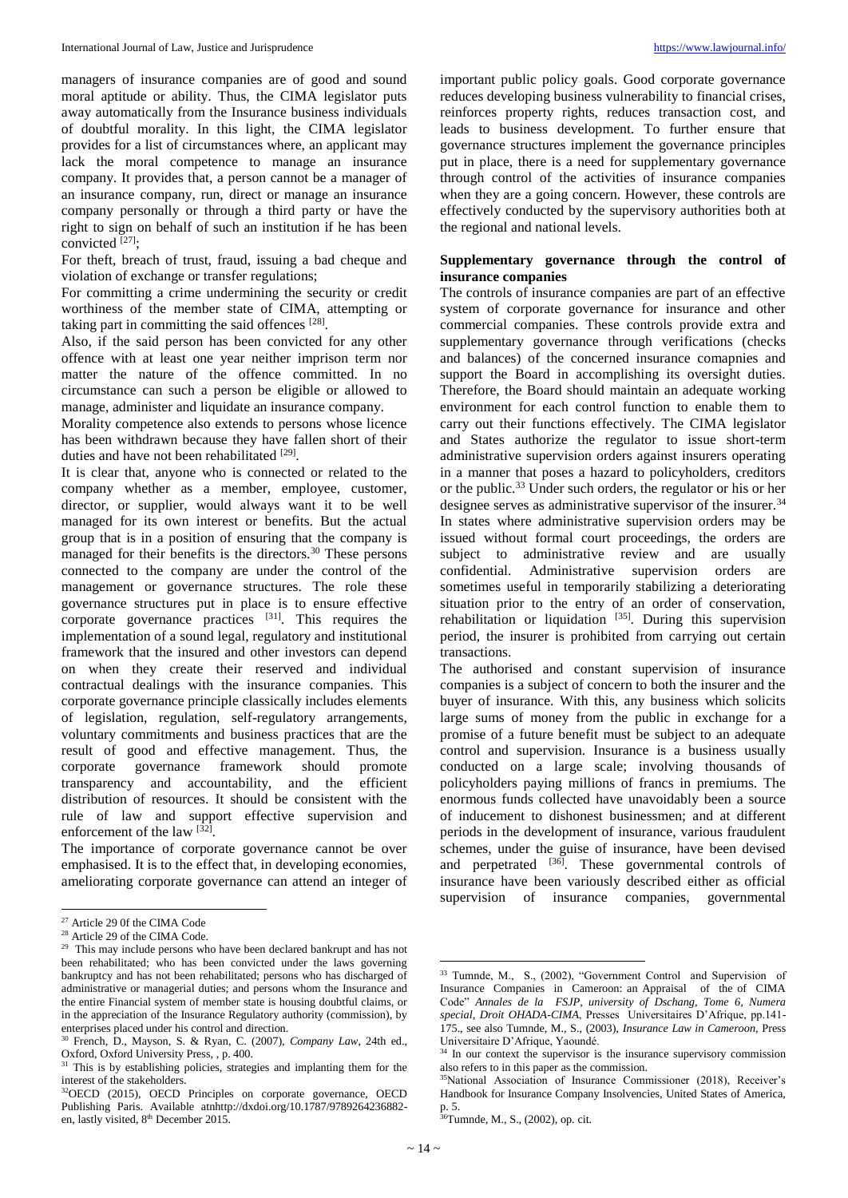managers of insurance companies are of good and sound moral aptitude or ability. Thus, the CIMA legislator puts away automatically from the Insurance business individuals of doubtful morality. In this light, the CIMA legislator provides for a list of circumstances where, an applicant may lack the moral competence to manage an insurance company. It provides that, a person cannot be a manager of an insurance company, run, direct or manage an insurance company personally or through a third party or have the right to sign on behalf of such an institution if he has been convicted  $^{[27]};$ 

For theft, breach of trust, fraud, issuing a bad cheque and violation of exchange or transfer regulations;

For committing a crime undermining the security or credit worthiness of the member state of CIMA, attempting or taking part in committing the said offences<sup>[28]</sup>.

Also, if the said person has been convicted for any other offence with at least one year neither imprison term nor matter the nature of the offence committed. In no circumstance can such a person be eligible or allowed to manage, administer and liquidate an insurance company.

Morality competence also extends to persons whose licence has been withdrawn because they have fallen short of their duties and have not been rehabilitated [29].

It is clear that, anyone who is connected or related to the company whether as a member, employee, customer, director, or supplier, would always want it to be well managed for its own interest or benefits. But the actual group that is in a position of ensuring that the company is managed for their benefits is the directors.<sup>30</sup> These persons connected to the company are under the control of the management or governance structures. The role these governance structures put in place is to ensure effective corporate governance practices  $[31]$ . This requires the implementation of a sound legal, regulatory and institutional framework that the insured and other investors can depend on when they create their reserved and individual contractual dealings with the insurance companies. This corporate governance principle classically includes elements of legislation, regulation, self-regulatory arrangements, voluntary commitments and business practices that are the result of good and effective management. Thus, the corporate governance framework should promote transparency and accountability, and the efficient distribution of resources. It should be consistent with the rule of law and support effective supervision and enforcement of the law [32].

The importance of corporate governance cannot be over emphasised. It is to the effect that, in developing economies, ameliorating corporate governance can attend an integer of

 $\overline{\phantom{a}}$ 

important public policy goals. Good corporate governance reduces developing business vulnerability to financial crises, reinforces property rights, reduces transaction cost, and leads to business development. To further ensure that governance structures implement the governance principles put in place, there is a need for supplementary governance through control of the activities of insurance companies when they are a going concern. However, these controls are effectively conducted by the supervisory authorities both at the regional and national levels.

# **Supplementary governance through the control of insurance companies**

The controls of insurance companies are part of an effective system of corporate governance for insurance and other commercial companies. These controls provide extra and supplementary governance through verifications (checks and balances) of the concerned insurance comapnies and support the Board in accomplishing its oversight duties. Therefore, the Board should maintain an adequate working environment for each control function to enable them to carry out their functions effectively. The CIMA legislator and States authorize the regulator to issue short-term administrative supervision orders against insurers operating in a manner that poses a hazard to policyholders, creditors or the public.<sup>33</sup> Under such orders, the regulator or his or her designee serves as administrative supervisor of the insurer.<sup>34</sup> In states where administrative supervision orders may be issued without formal court proceedings, the orders are subject to administrative review and are usually confidential. Administrative supervision orders are sometimes useful in temporarily stabilizing a deteriorating situation prior to the entry of an order of conservation, rehabilitation or liquidation  $[35]$ . During this supervision period, the insurer is prohibited from carrying out certain transactions.

The authorised and constant supervision of insurance companies is a subject of concern to both the insurer and the buyer of insurance. With this, any business which solicits large sums of money from the public in exchange for a promise of a future benefit must be subject to an adequate control and supervision. Insurance is a business usually conducted on a large scale; involving thousands of policyholders paying millions of francs in premiums. The enormous funds collected have unavoidably been a source of inducement to dishonest businessmen; and at different periods in the development of insurance, various fraudulent schemes, under the guise of insurance, have been devised and perpetrated  $^{[36]}$ . These governmental controls of insurance have been variously described either as official supervision of insurance companies, governmental

 $\overline{\phantom{a}}$ 

<sup>27</sup> Article 29 0f the CIMA Code

<sup>28</sup> Article 29 of the CIMA Code.

<sup>&</sup>lt;sup>29</sup> This may include persons who have been declared bankrupt and has not been rehabilitated; who has been convicted under the laws governing bankruptcy and has not been rehabilitated; persons who has discharged of administrative or managerial duties; and persons whom the Insurance and the entire Financial system of member state is housing doubtful claims, or in the appreciation of the Insurance Regulatory authority (commission), by enterprises placed under his control and direction.

<sup>30</sup> French, D., Mayson, S. & Ryan, C. (2007), *Company Law*, 24th ed., Oxford, Oxford University Press, , p. 400.

<sup>&</sup>lt;sup>31</sup> This is by establishing policies, strategies and implanting them for the interest of the stakeholders.

<sup>32</sup>OECD (2015), OECD Principles on corporate governance, OECD Publishing Paris. Available atnhttp://dxdoi.org/10.1787/9789264236882 en, lastly visited, 8<sup>th</sup> December 2015.

<sup>&</sup>lt;sup>33</sup> Tumnde, M., S., (2002), "Government Control and Supervision of Insurance Companies in Cameroon: an Appraisal of the of CIMA Code" *Annales de la FSJP, university of Dschang, Tome 6, Numera special, Droit OHADA-CIMA*, Presses Universitaires D'Afrique, pp.141- 175., see also Tumnde, M., S., (2003), *Insurance Law in Cameroon,* Press Universitaire D'Afrique, Yaoundé.

<sup>&</sup>lt;sup>34</sup> In our context the supervisor is the insurance supervisory commission also refers to in this paper as the commission.

<sup>35</sup>National Association of Insurance Commissioner (2018), Receiver's Handbook for Insurance Company Insolvencies, United States of America, p. 5.

<sup>36</sup>Tumnde, M., S., (2002), op. cit.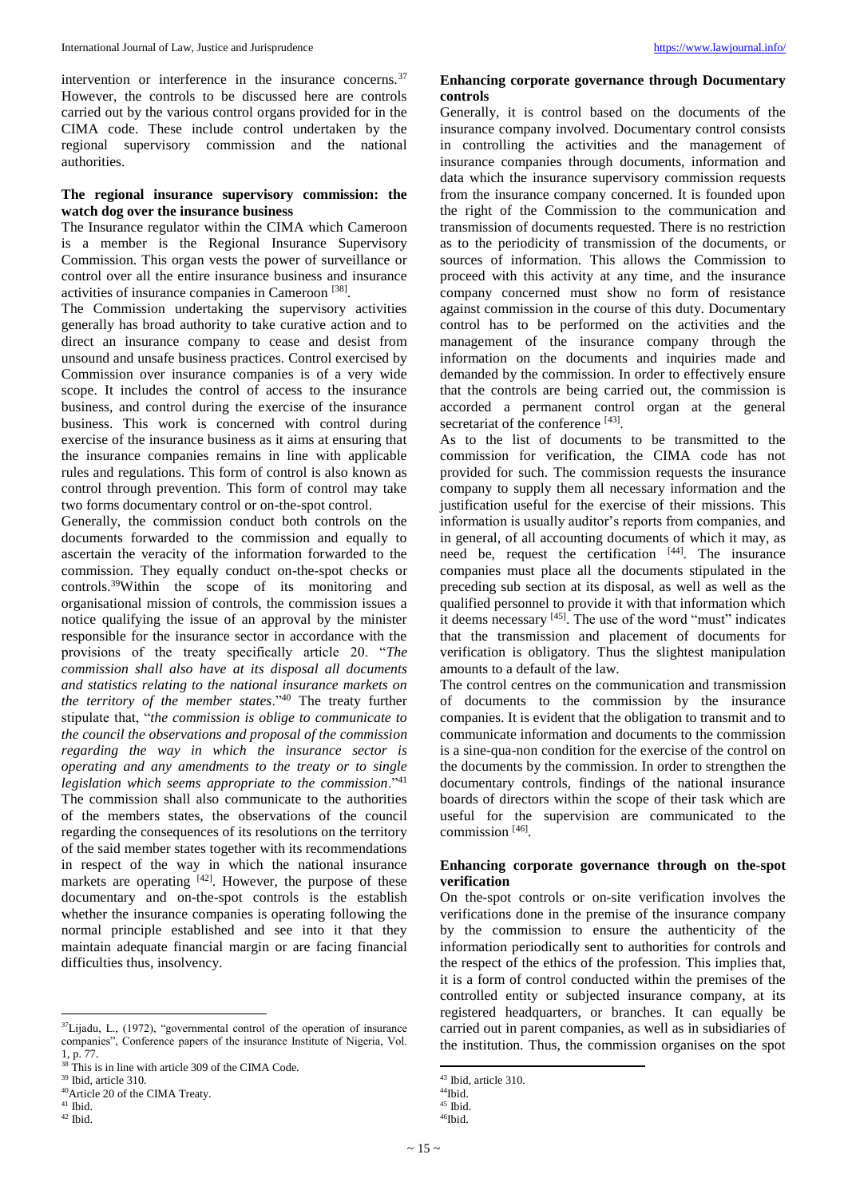intervention or interference in the insurance concerns.<sup>37</sup> However, the controls to be discussed here are controls carried out by the various control organs provided for in the CIMA code. These include control undertaken by the regional supervisory commission and the national authorities.

# **The regional insurance supervisory commission: the watch dog over the insurance business**

The Insurance regulator within the CIMA which Cameroon is a member is the Regional Insurance Supervisory Commission. This organ vests the power of surveillance or control over all the entire insurance business and insurance activities of insurance companies in Cameroon<sup>[38]</sup>.

The Commission undertaking the supervisory activities generally has broad authority to take curative action and to direct an insurance company to cease and desist from unsound and unsafe business practices. Control exercised by Commission over insurance companies is of a very wide scope. It includes the control of access to the insurance business, and control during the exercise of the insurance business. This work is concerned with control during exercise of the insurance business as it aims at ensuring that the insurance companies remains in line with applicable rules and regulations. This form of control is also known as control through prevention. This form of control may take two forms documentary control or on-the-spot control.

Generally, the commission conduct both controls on the documents forwarded to the commission and equally to ascertain the veracity of the information forwarded to the commission. They equally conduct on-the-spot checks or controls.<sup>39</sup>Within the scope of its monitoring and organisational mission of controls, the commission issues a notice qualifying the issue of an approval by the minister responsible for the insurance sector in accordance with the provisions of the treaty specifically article 20. "*The commission shall also have at its disposal all documents and statistics relating to the national insurance markets on the territory of the member states*."<sup>40</sup> The treaty further stipulate that, "*the commission is oblige to communicate to the council the observations and proposal of the commission regarding the way in which the insurance sector is operating and any amendments to the treaty or to single legislation which seems appropriate to the commission*."<sup>41</sup> The commission shall also communicate to the authorities of the members states, the observations of the council regarding the consequences of its resolutions on the territory of the said member states together with its recommendations in respect of the way in which the national insurance markets are operating [42]. However, the purpose of these documentary and on-the-spot controls is the establish whether the insurance companies is operating following the normal principle established and see into it that they maintain adequate financial margin or are facing financial difficulties thus, insolvency.

 $\overline{\phantom{a}}$ 

## **Enhancing corporate governance through Documentary controls**

Generally, it is control based on the documents of the insurance company involved. Documentary control consists in controlling the activities and the management of insurance companies through documents, information and data which the insurance supervisory commission requests from the insurance company concerned. It is founded upon the right of the Commission to the communication and transmission of documents requested. There is no restriction as to the periodicity of transmission of the documents, or sources of information. This allows the Commission to proceed with this activity at any time, and the insurance company concerned must show no form of resistance against commission in the course of this duty. Documentary control has to be performed on the activities and the management of the insurance company through the information on the documents and inquiries made and demanded by the commission. In order to effectively ensure that the controls are being carried out, the commission is accorded a permanent control organ at the general secretariat of the conference [43].

As to the list of documents to be transmitted to the commission for verification, the CIMA code has not provided for such. The commission requests the insurance company to supply them all necessary information and the justification useful for the exercise of their missions. This information is usually auditor's reports from companies, and in general, of all accounting documents of which it may, as need be, request the certification [44]. The insurance companies must place all the documents stipulated in the preceding sub section at its disposal, as well as well as the qualified personnel to provide it with that information which it deems necessary [45]. The use of the word "must" indicates that the transmission and placement of documents for verification is obligatory. Thus the slightest manipulation amounts to a default of the law.

The control centres on the communication and transmission of documents to the commission by the insurance companies. It is evident that the obligation to transmit and to communicate information and documents to the commission is a sine-qua-non condition for the exercise of the control on the documents by the commission. In order to strengthen the documentary controls, findings of the national insurance boards of directors within the scope of their task which are useful for the supervision are communicated to the commission [46] .

# **Enhancing corporate governance through on the-spot verification**

On the-spot controls or on-site verification involves the verifications done in the premise of the insurance company by the commission to ensure the authenticity of the information periodically sent to authorities for controls and the respect of the ethics of the profession. This implies that, it is a form of control conducted within the premises of the controlled entity or subjected insurance company, at its registered headquarters, or branches. It can equally be carried out in parent companies, as well as in subsidiaries of the institution. Thus, the commission organises on the spot

 $\overline{a}$ 

 $37$ Lijadu, L., (1972), "governmental control of the operation of insurance companies", Conference papers of the insurance Institute of Nigeria, Vol. 1, p. 77.

<sup>&</sup>lt;sup>38</sup> This is in line with article 309 of the CIMA Code.

<sup>39</sup> Ibid, article 310.

<sup>40</sup>Article 20 of the CIMA Treaty.  $^{\rm 41}$  Ibid.

 $42$  Ibid.

<sup>43</sup> Ibid, article 310.

<sup>44</sup>Ibid.

 $45$  Ibid.

<sup>46</sup>Ibid.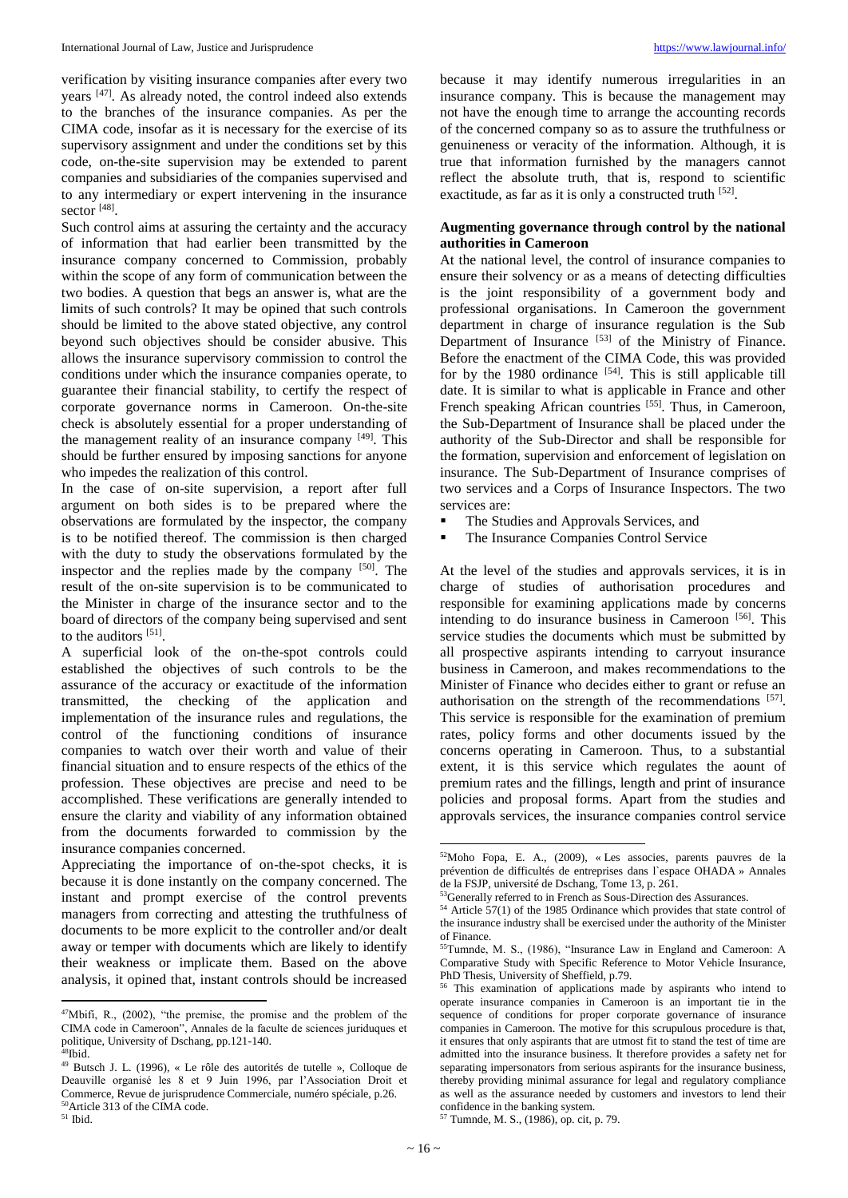verification by visiting insurance companies after every two years <sup>[47]</sup>. As already noted, the control indeed also extends to the branches of the insurance companies. As per the CIMA code, insofar as it is necessary for the exercise of its supervisory assignment and under the conditions set by this code, on-the-site supervision may be extended to parent companies and subsidiaries of the companies supervised and to any intermediary or expert intervening in the insurance sector <sup>[48]</sup>.

Such control aims at assuring the certainty and the accuracy of information that had earlier been transmitted by the insurance company concerned to Commission, probably within the scope of any form of communication between the two bodies. A question that begs an answer is, what are the limits of such controls? It may be opined that such controls should be limited to the above stated objective, any control beyond such objectives should be consider abusive. This allows the insurance supervisory commission to control the conditions under which the insurance companies operate, to guarantee their financial stability, to certify the respect of corporate governance norms in Cameroon. On-the-site check is absolutely essential for a proper understanding of the management reality of an insurance company [49]. This should be further ensured by imposing sanctions for anyone who impedes the realization of this control.

In the case of on-site supervision, a report after full argument on both sides is to be prepared where the observations are formulated by the inspector, the company is to be notified thereof. The commission is then charged with the duty to study the observations formulated by the inspector and the replies made by the company [50] . The result of the on-site supervision is to be communicated to the Minister in charge of the insurance sector and to the board of directors of the company being supervised and sent to the auditors [51].

A superficial look of the on-the-spot controls could established the objectives of such controls to be the assurance of the accuracy or exactitude of the information transmitted, the checking of the application and implementation of the insurance rules and regulations, the control of the functioning conditions of insurance companies to watch over their worth and value of their financial situation and to ensure respects of the ethics of the profession. These objectives are precise and need to be accomplished. These verifications are generally intended to ensure the clarity and viability of any information obtained from the documents forwarded to commission by the insurance companies concerned.

Appreciating the importance of on-the-spot checks, it is because it is done instantly on the company concerned. The instant and prompt exercise of the control prevents managers from correcting and attesting the truthfulness of documents to be more explicit to the controller and/or dealt away or temper with documents which are likely to identify their weakness or implicate them. Based on the above analysis, it opined that, instant controls should be increased

<sup>51</sup> Ibid.

 $\overline{a}$ 

because it may identify numerous irregularities in an insurance company. This is because the management may not have the enough time to arrange the accounting records of the concerned company so as to assure the truthfulness or genuineness or veracity of the information. Although, it is true that information furnished by the managers cannot reflect the absolute truth, that is, respond to scientific exactitude, as far as it is only a constructed truth [52].

# **Augmenting governance through control by the national authorities in Cameroon**

At the national level, the control of insurance companies to ensure their solvency or as a means of detecting difficulties is the joint responsibility of a government body and professional organisations. In Cameroon the government department in charge of insurance regulation is the Sub Department of Insurance  $[53]$  of the Ministry of Finance. Before the enactment of the CIMA Code, this was provided for by the 1980 ordinance  $[54]$ . This is still applicable till date. It is similar to what is applicable in France and other French speaking African countries [55]. Thus, in Cameroon, the Sub-Department of Insurance shall be placed under the authority of the Sub-Director and shall be responsible for the formation, supervision and enforcement of legislation on insurance. The Sub-Department of Insurance comprises of two services and a Corps of Insurance Inspectors. The two services are:

- The Studies and Approvals Services, and
- The Insurance Companies Control Service

At the level of the studies and approvals services, it is in charge of studies of authorisation procedures and responsible for examining applications made by concerns intending to do insurance business in Cameroon<sup>[56]</sup>. This service studies the documents which must be submitted by all prospective aspirants intending to carryout insurance business in Cameroon, and makes recommendations to the Minister of Finance who decides either to grant or refuse an authorisation on the strength of the recommendations [57]. This service is responsible for the examination of premium rates, policy forms and other documents issued by the concerns operating in Cameroon. Thus, to a substantial extent, it is this service which regulates the aount of premium rates and the fillings, length and print of insurance policies and proposal forms. Apart from the studies and approvals services, the insurance companies control service

 $\overline{\phantom{a}}$ 

 $47$ Mbifi, R.,  $(2002)$ , "the premise, the promise and the problem of the CIMA code in Cameroon", Annales de la faculte de sciences juriduques et politique, University of Dschang, pp.121-140.  $^{18}$ Ibid.

<sup>49</sup> Butsch J. L. (1996), « Le rôle des autorités de tutelle », Colloque de Deauville organisé les 8 et 9 Juin 1996, par l'Association Droit et Commerce, Revue de jurisprudence Commerciale, numéro spéciale, p.26. <sup>50</sup>Article 313 of the CIMA code.

<sup>52</sup>Moho Fopa, E. A., (2009), « Les associes, parents pauvres de la prévention de difficultés de entreprises dans l`espace OHADA » Annales de la FSJP, université de Dschang, Tome 13, p. 261.

<sup>53</sup> Generally referred to in French as Sous-Direction des Assurances.

 $54$  Article 57(1) of the 1985 Ordinance which provides that state control of the insurance industry shall be exercised under the authority of the Minister of Finance.

<sup>55</sup>Tumnde, M. S., (1986), "Insurance Law in England and Cameroon: A Comparative Study with Specific Reference to Motor Vehicle Insurance, PhD Thesis, University of Sheffield, p.79.

<sup>56</sup> This examination of applications made by aspirants who intend to operate insurance companies in Cameroon is an important tie in the sequence of conditions for proper corporate governance of insurance companies in Cameroon. The motive for this scrupulous procedure is that, it ensures that only aspirants that are utmost fit to stand the test of time are admitted into the insurance business. It therefore provides a safety net for separating impersonators from serious aspirants for the insurance business, thereby providing minimal assurance for legal and regulatory compliance as well as the assurance needed by customers and investors to lend their confidence in the banking system.

<sup>57</sup> Tumnde, M. S., (1986), op. cit, p. 79.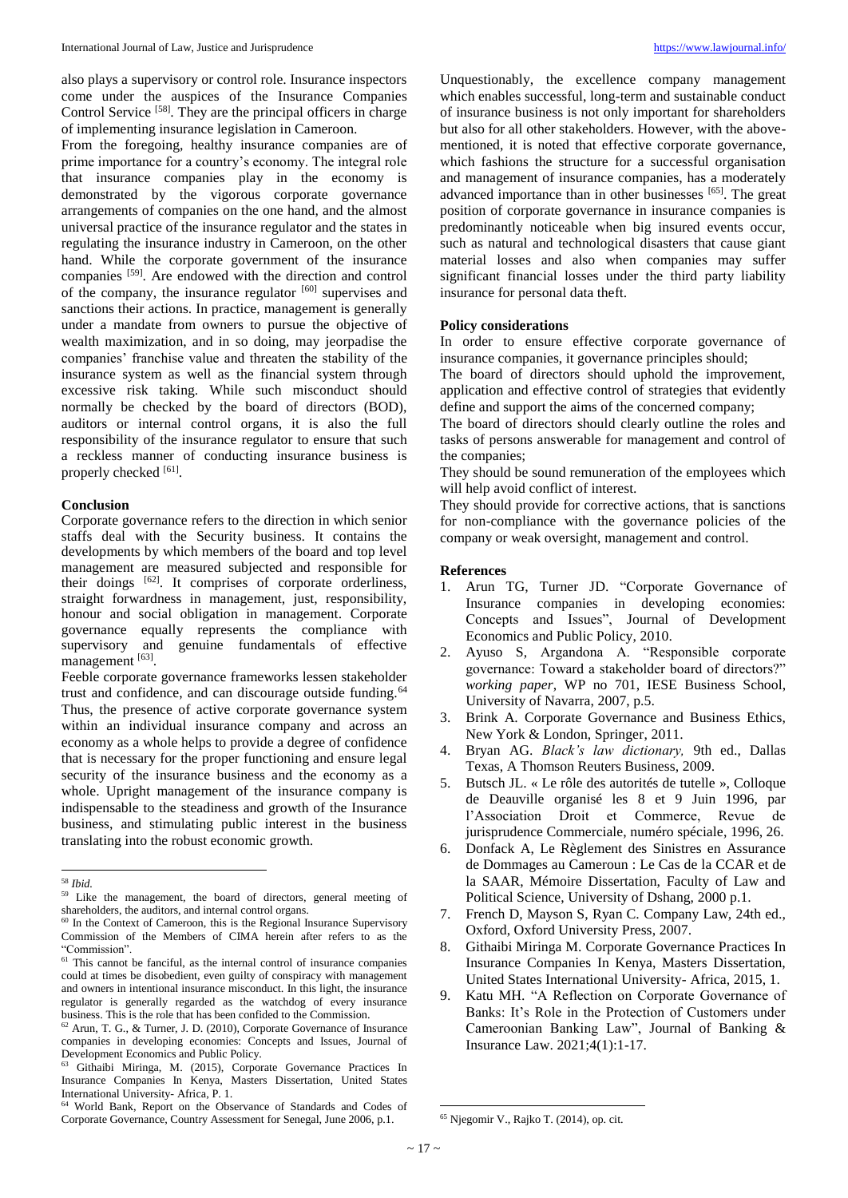also plays a supervisory or control role. Insurance inspectors come under the auspices of the Insurance Companies Control Service<sup>[58]</sup>. They are the principal officers in charge of implementing insurance legislation in Cameroon.

From the foregoing, healthy insurance companies are of prime importance for a country's economy. The integral role that insurance companies play in the economy is demonstrated by the vigorous corporate governance arrangements of companies on the one hand, and the almost universal practice of the insurance regulator and the states in regulating the insurance industry in Cameroon, on the other hand. While the corporate government of the insurance companies <sup>[59]</sup>. Are endowed with the direction and control of the company, the insurance regulator [60] supervises and sanctions their actions. In practice, management is generally under a mandate from owners to pursue the objective of wealth maximization, and in so doing, may jeorpadise the companies' franchise value and threaten the stability of the insurance system as well as the financial system through excessive risk taking. While such misconduct should normally be checked by the board of directors (BOD), auditors or internal control organs, it is also the full responsibility of the insurance regulator to ensure that such a reckless manner of conducting insurance business is properly checked [61].

## **Conclusion**

Corporate governance refers to the direction in which senior staffs deal with the Security business. It contains the developments by which members of the board and top level management are measured subjected and responsible for their doings [62]. It comprises of corporate orderliness, straight forwardness in management, just, responsibility, honour and social obligation in management. Corporate governance equally represents the compliance with supervisory and genuine fundamentals of effective management [63].

Feeble corporate governance frameworks lessen stakeholder trust and confidence, and can discourage outside funding.<sup>64</sup> Thus, the presence of active corporate governance system within an individual insurance company and across an economy as a whole helps to provide a degree of confidence that is necessary for the proper functioning and ensure legal security of the insurance business and the economy as a whole. Upright management of the insurance company is indispensable to the steadiness and growth of the Insurance business, and stimulating public interest in the business translating into the robust economic growth.

 $\overline{a}$ 

Unquestionably, the excellence company management which enables successful, long-term and sustainable conduct of insurance business is not only important for shareholders but also for all other stakeholders. However, with the abovementioned, it is noted that effective corporate governance, which fashions the structure for a successful organisation and management of insurance companies, has a moderately advanced importance than in other businesses [65]. The great position of corporate governance in insurance companies is predominantly noticeable when big insured events occur, such as natural and technological disasters that cause giant material losses and also when companies may suffer significant financial losses under the third party liability insurance for personal data theft.

## **Policy considerations**

In order to ensure effective corporate governance of insurance companies, it governance principles should;

The board of directors should uphold the improvement, application and effective control of strategies that evidently define and support the aims of the concerned company;

The board of directors should clearly outline the roles and tasks of persons answerable for management and control of the companies;

They should be sound remuneration of the employees which will help avoid conflict of interest.

They should provide for corrective actions, that is sanctions for non-compliance with the governance policies of the company or weak oversight, management and control.

### **References**

- 1. Arun TG, Turner JD. "Corporate Governance of Insurance companies in developing economies: Concepts and Issues", Journal of Development Economics and Public Policy, 2010.
- 2. Ayuso S, Argandona A. "Responsible corporate governance: Toward a stakeholder board of directors?" *working paper*, WP no 701, IESE Business School, University of Navarra, 2007, p.5.
- 3. Brink A. Corporate Governance and Business Ethics, New York & London, Springer, 2011.
- 4. Bryan AG. *Black's law dictionary,* 9th ed., Dallas Texas, A Thomson Reuters Business, 2009.
- 5. Butsch JL. « Le rôle des autorités de tutelle », Colloque de Deauville organisé les 8 et 9 Juin 1996, par l'Association Droit et Commerce, Revue de jurisprudence Commerciale, numéro spéciale, 1996, 26.
- 6. Donfack A, Le Règlement des Sinistres en Assurance de Dommages au Cameroun : Le Cas de la CCAR et de la SAAR, Mémoire Dissertation, Faculty of Law and Political Science, University of Dshang, 2000 p.1.
- 7. French D, Mayson S, Ryan C. Company Law, 24th ed., Oxford, Oxford University Press, 2007.
- 8. Githaibi Miringa M. Corporate Governance Practices In Insurance Companies In Kenya, Masters Dissertation, United States International University- Africa, 2015, 1.
- 9. Katu MH. "A Reflection on Corporate Governance of Banks: It's Role in the Protection of Customers under Cameroonian Banking Law", Journal of Banking & Insurance Law. 2021;4(1):1-17.

<sup>58</sup> *Ibid.*

<sup>59</sup> Like the management, the board of directors, general meeting of shareholders, the auditors, and internal control organs.

<sup>&</sup>lt;sup>60</sup> In the Context of Cameroon, this is the Regional Insurance Supervisory Commission of the Members of CIMA herein after refers to as the "Commission".

<sup>&</sup>lt;sup>61</sup> This cannot be fanciful, as the internal control of insurance companies could at times be disobedient, even guilty of conspiracy with management and owners in intentional insurance misconduct. In this light, the insurance regulator is generally regarded as the watchdog of every insurance business. This is the role that has been confided to the Commission.

<sup>62</sup> Arun, T. G., & Turner, J. D. (2010), Corporate Governance of Insurance companies in developing economies: Concepts and Issues, Journal of Development Economics and Public Policy.

<sup>63</sup> Githaibi Miringa, M. (2015), Corporate Governance Practices In Insurance Companies In Kenya, Masters Dissertation, United States International University- Africa, P. 1.

<sup>64</sup> World Bank, Report on the Observance of Standards and Codes of Corporate Governance, Country Assessment for Senegal, June 2006, p.1.

 $\overline{\phantom{a}}$ <sup>65</sup> Njegomir V., Rajko T. (2014), op. cit.